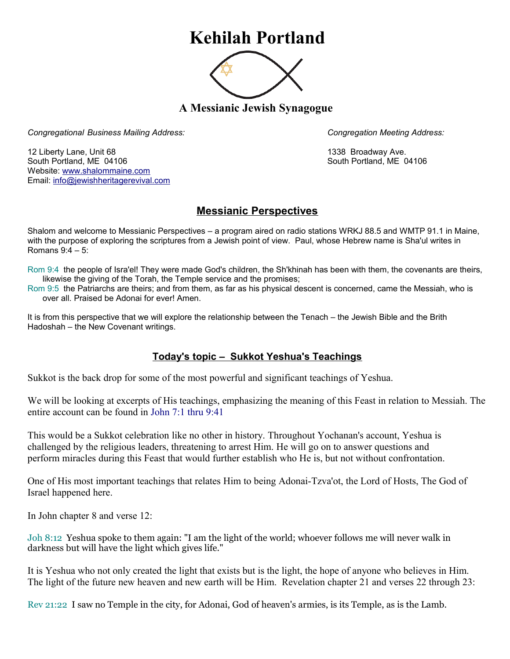## **Kehilah Portland**



**A Messianic Jewish Synagogue** 

*Congregational Business Mailing Address: Congregation Meeting Address:*

12 Liberty Lane, Unit 68 1338 Broadway Ave. South Portland, ME 04106 South Portland, ME 04106 Website: [www.shalommaine.com](http://www.shalommaine.com/) Email: [info@jewishheritagerevival.com](mailto:info@jewishheritagerevival.com) 

## **Messianic Perspectives**

Shalom and welcome to Messianic Perspectives – a program aired on radio stations WRKJ 88.5 and WMTP 91.1 in Maine, with the purpose of exploring the scriptures from a Jewish point of view. Paul, whose Hebrew name is Sha'ul writes in Romans 9:4 – 5:

- Rom 9:4 the people of Isra'el! They were made God's children, the Sh'khinah has been with them, the covenants are theirs, likewise the giving of the Torah, the Temple service and the promises;
- Rom 9:5 the Patriarchs are theirs; and from them, as far as his physical descent is concerned, came the Messiah, who is over all. Praised be Adonai for ever! Amen.

It is from this perspective that we will explore the relationship between the Tenach – the Jewish Bible and the Brith Hadoshah – the New Covenant writings.

## **Today's topic – Sukkot Yeshua's Teachings**

Sukkot is the back drop for some of the most powerful and significant teachings of Yeshua.

We will be looking at excerpts of His teachings, emphasizing the meaning of this Feast in relation to Messiah. The entire account can be found in John 7:1 thru 9:41

This would be a Sukkot celebration like no other in history. Throughout Yochanan's account, Yeshua is challenged by the religious leaders, threatening to arrest Him. He will go on to answer questions and perform miracles during this Feast that would further establish who He is, but not without confrontation.

One of His most important teachings that relates Him to being Adonai-Tzva'ot, the Lord of Hosts, The God of Israel happened here.

In John chapter 8 and verse 12:

Joh 8:12 Yeshua spoke to them again: "I am the light of the world; whoever follows me will never walk in darkness but will have the light which gives life."

It is Yeshua who not only created the light that exists but is the light, the hope of anyone who believes in Him. The light of the future new heaven and new earth will be Him. Revelation chapter 21 and verses 22 through 23:

Rev 21:22 I saw no Temple in the city, for Adonai, God of heaven's armies, is its Temple, as is the Lamb.